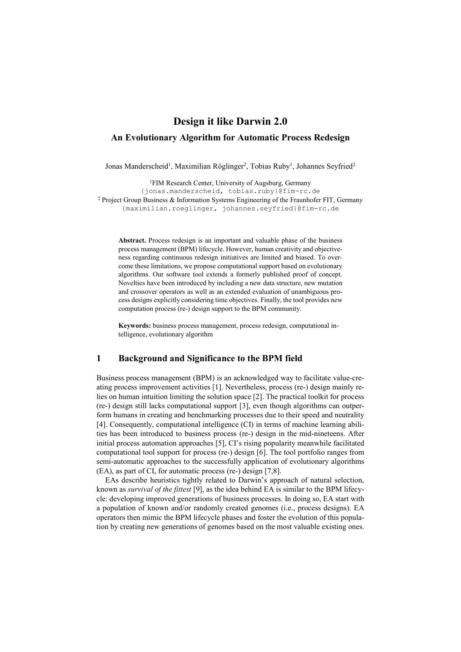# **Design it like Darwin 2.0 An Evolutionary Algorithm for Automatic Process Redesign**

Jonas Manderscheid<sup>1</sup>, Maximilian Röglinger<sup>2</sup>, Tobias Ruby<sup>1</sup>, Johannes Seyfried<sup>2</sup>

1FIM Research Center, University of Augsburg, Germany {jonas.manderscheid, tobias.ruby}@fim-rc.de <sup>2</sup> Project Group Business & Information Systems Engineering of the Fraunhofer FIT, Germany {maximilian.roeglinger, johannes.seyfried}@fim-rc.de

**Abstract.** Process redesign is an important and valuable phase of the business process management (BPM) lifecycle. However, human creativity and objectiveness regarding continuous redesign initiatives are limited and biased. To overcome these limitations, we propose computational support based on evolutionary algorithms. Our software tool extends a formerly published proof of concept. Novelties have been introduced by including a new data structure, new mutation and crossover operators as well as an extended evaluation of unambiguous process designs explicitly considering time objectives. Finally, the tool provides new computation process (re-) design support to the BPM community.

**Keywords:** business process management, process redesign, computational intelligence, evolutionary algorithm

#### **1 Background and Significance to the BPM field**

Business process management (BPM) is an acknowledged way to facilitate value-creating process improvement activities [1]. Nevertheless, process (re-) design mainly relies on human intuition limiting the solution space [2]. The practical toolkit for process (re-) design still lacks computational support [3], even though algorithms can outperform humans in creating and benchmarking processes due to their speed and neutrality [4]. Consequently, computational intelligence (CI) in terms of machine learning abilities has been introduced to business process (re-) design in the mid-nineteens. After initial process automation approaches [5], CI's rising popularity meanwhile facilitated computational tool support for process (re-) design [6]. The tool portfolio ranges from semi-automatic approaches to the successfully application of evolutionary algorithms (EA), as part of CI, for automatic process (re-) design [7,8].

EAs describe heuristics tightly related to Darwin's approach of natural selection, known as *survival of the fittest* [9], as the idea behind EA is similar to the BPM lifecycle: developing improved generations of business processes. In doing so, EA start with a population of known and/or randomly created genomes (i.e., process designs). EA operators then mimic the BPM lifecycle phases and foster the evolution of this population by creating new generations of genomes based on the most valuable existing ones.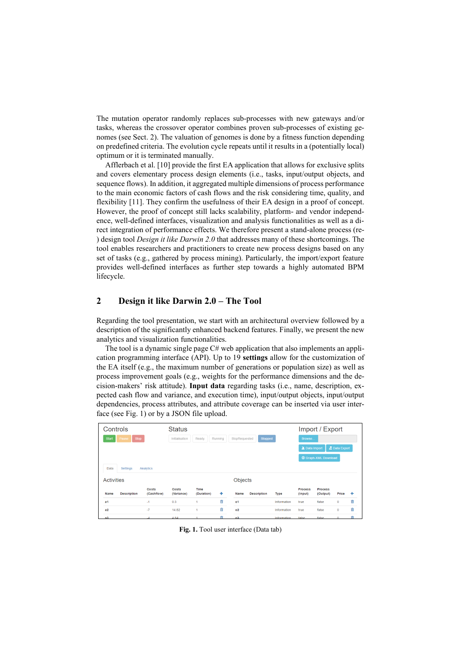The mutation operator randomly replaces sub-processes with new gateways and/or tasks, whereas the crossover operator combines proven sub-processes of existing genomes (see Sect. 2). The valuation of genomes is done by a fitness function depending on predefined criteria. The evolution cycle repeats until it results in a (potentially local) optimum or it is terminated manually.

Afflerbach et al. [10] provide the first EA application that allows for exclusive splits and covers elementary process design elements (i.e., tasks, input/output objects, and sequence flows). In addition, it aggregated multiple dimensions of process performance to the main economic factors of cash flows and the risk considering time, quality, and flexibility [11]. They confirm the usefulness of their EA design in a proof of concept. However, the proof of concept still lacks scalability, platform- and vendor independence, well-defined interfaces, visualization and analysis functionalities as well as a direct integration of performance effects. We therefore present a stand-alone process (re- ) design tool *Design it like Darwin 2.0* that addresses many of these shortcomings. The tool enables researchers and practitioners to create new process designs based on any set of tasks (e.g., gathered by process mining). Particularly, the import/export feature provides well-defined interfaces as further step towards a highly automated BPM lifecycle.

# **2 Design it like Darwin 2.0 – The Tool**

Regarding the tool presentation, we start with an architectural overview followed by a description of the significantly enhanced backend features. Finally, we present the new analytics and visualization functionalities.

The tool is a dynamic single page C# web application that also implements an application programming interface (API). Up to 19 **settings** allow for the customization of the EA itself (e.g., the maximum number of generations or population size) as well as process improvement goals (e.g., weights for the performance dimensions and the decision-makers' risk attitude). **Input data** regarding tasks (i.e., name, description, expected cash flow and variance, and execution time), input/output objects, input/output dependencies, process attributes, and attribute coverage can be inserted via user interface (see Fig. 1) or by a JSON file upload.

| Controls                             |                    |                     | <b>Status</b>                                                  |                           |   |                |                    |                              | Import / Export           |                            |             |   |
|--------------------------------------|--------------------|---------------------|----------------------------------------------------------------|---------------------------|---|----------------|--------------------|------------------------------|---------------------------|----------------------------|-------------|---|
| <b>Stop</b><br><b>Start</b><br>Pause |                    |                     | Stopped<br>Ready<br>Running<br>StopRequested<br>Initialisation |                           |   |                |                    |                              | Browse                    |                            |             |   |
|                                      |                    |                     |                                                                |                           |   |                |                    | ■ Data Import<br>Data Export |                           |                            |             |   |
|                                      |                    |                     |                                                                |                           |   |                |                    | <b>E</b> Graph-XML Download  |                           |                            |             |   |
| Data                                 | Settings           | Analytics           |                                                                |                           |   |                |                    |                              |                           |                            |             |   |
| <b>Activities</b>                    |                    |                     | Objects                                                        |                           |   |                |                    |                              |                           |                            |             |   |
| Name                                 | <b>Description</b> | Costs<br>(Cashflow) | Costs<br>(Variance)                                            | <b>Time</b><br>(Duration) | ÷ | Name           | <b>Description</b> | Type                         | <b>Process</b><br>(Input) | <b>Process</b><br>(Output) | Price       | ٠ |
| a1                                   |                    | $-1$                | 0.3                                                            | 1                         | 亩 | $^{\circ}$     |                    | Information                  | true                      | false                      | $\mathbf 0$ | ŵ |
| a2                                   |                    | $-7$                | 14.82                                                          | 1                         | 亩 | 0 <sup>2</sup> |                    | Information                  | true                      | false                      | $\mathbf 0$ | û |
| 2 <sup>2</sup>                       |                    |                     | 4.84                                                           |                           |   | 0 <sup>3</sup> |                    | Information                  | false                     | false                      | $\sim$      | 肅 |

**Fig. 1.** Tool user interface (Data tab)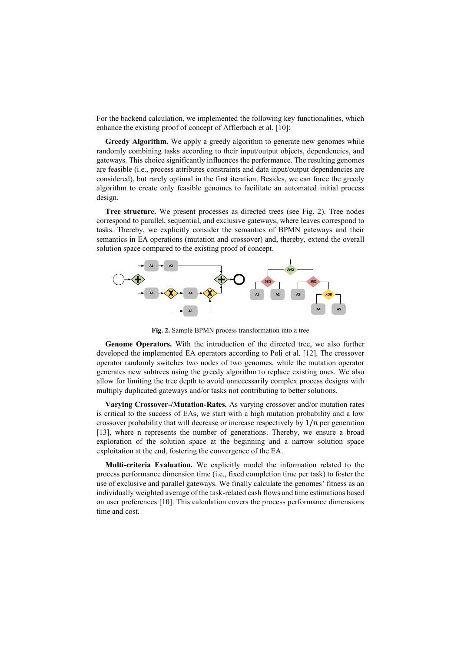For the backend calculation, we implemented the following key functionalities, which enhance the existing proof of concept of Afflerbach et al. [10]:

**Greedy Algorithm.** We apply a greedy algorithm to generate new genomes while randomly combining tasks according to their input/output objects, dependencies, and gateways. This choice significantly influences the performance. The resulting genomes are feasible (i.e., process attributes constraints and data input/output dependencies are considered), but rarely optimal in the first iteration. Besides, we can force the greedy algorithm to create only feasible genomes to facilitate an automated initial process design.

**Tree structure.** We present processes as directed trees (see Fig. 2). Tree nodes correspond to parallel, sequential, and exclusive gateways, where leaves correspond to tasks. Thereby, we explicitly consider the semantics of BPMN gateways and their semantics in EA operations (mutation and crossover) and, thereby, extend the overall solution space compared to the existing proof of concept.



**Fig. 2.** Sample BPMN process transformation into a tree

**Genome Operators.** With the introduction of the directed tree, we also further developed the implemented EA operators according to Poli et al. [12]. The crossover operator randomly switches two nodes of two genomes, while the mutation operator generates new subtrees using the greedy algorithm to replace existing ones. We also allow for limiting the tree depth to avoid unnecessarily complex process designs with multiply duplicated gateways and/or tasks not contributing to better solutions.

**Varying Crossover-/Mutation-Rates.** As varying crossover and/or mutation rates is critical to the success of EAs, we start with a high mutation probability and a low crossover probability that will decrease or increase respectively by  $1/n$  per generation [13], where n represents the number of generations. Thereby, we ensure a broad exploration of the solution space at the beginning and a narrow solution space exploitation at the end, fostering the convergence of the EA.

**Multi-criteria Evaluation.** We explicitly model the information related to the process performance dimension time (i.e., fixed completion time per task) to foster the use of exclusive and parallel gateways. We finally calculate the genomes' fitness as an individually weighted average of the task-related cash flows and time estimations based on user preferences [10]. This calculation covers the process performance dimensions time and cost.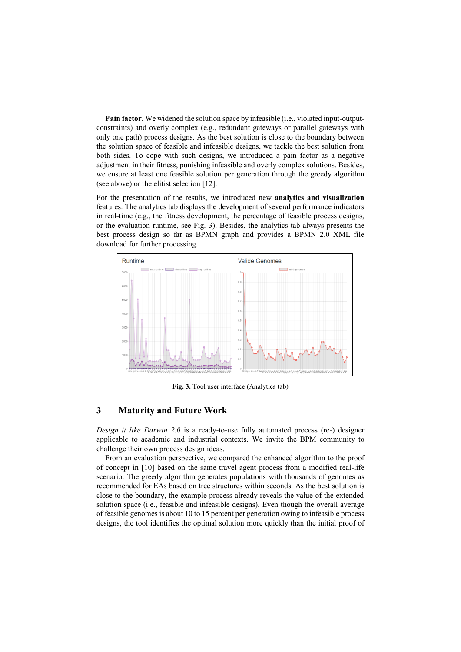**Pain factor.** We widened the solution space by infeasible (i.e., violated input-outputconstraints) and overly complex (e.g., redundant gateways or parallel gateways with only one path) process designs. As the best solution is close to the boundary between the solution space of feasible and infeasible designs, we tackle the best solution from both sides. To cope with such designs, we introduced a pain factor as a negative adjustment in their fitness, punishing infeasible and overly complex solutions. Besides, we ensure at least one feasible solution per generation through the greedy algorithm (see above) or the elitist selection [12].

For the presentation of the results, we introduced new **analytics and visualization**  features. The analytics tab displays the development of several performance indicators in real-time (e.g., the fitness development, the percentage of feasible process designs, or the evaluation runtime, see Fig. 3). Besides, the analytics tab always presents the best process design so far as BPMN graph and provides a BPMN 2.0 XML file download for further processing.



**Fig. 3.** Tool user interface (Analytics tab)

## **3 Maturity and Future Work**

*Design it like Darwin 2.0* is a ready-to-use fully automated process (re-) designer applicable to academic and industrial contexts. We invite the BPM community to challenge their own process design ideas.

From an evaluation perspective, we compared the enhanced algorithm to the proof of concept in [10] based on the same travel agent process from a modified real-life scenario. The greedy algorithm generates populations with thousands of genomes as recommended for EAs based on tree structures within seconds. As the best solution is close to the boundary, the example process already reveals the value of the extended solution space (i.e., feasible and infeasible designs). Even though the overall average of feasible genomes is about 10 to 15 percent per generation owing to infeasible process designs, the tool identifies the optimal solution more quickly than the initial proof of